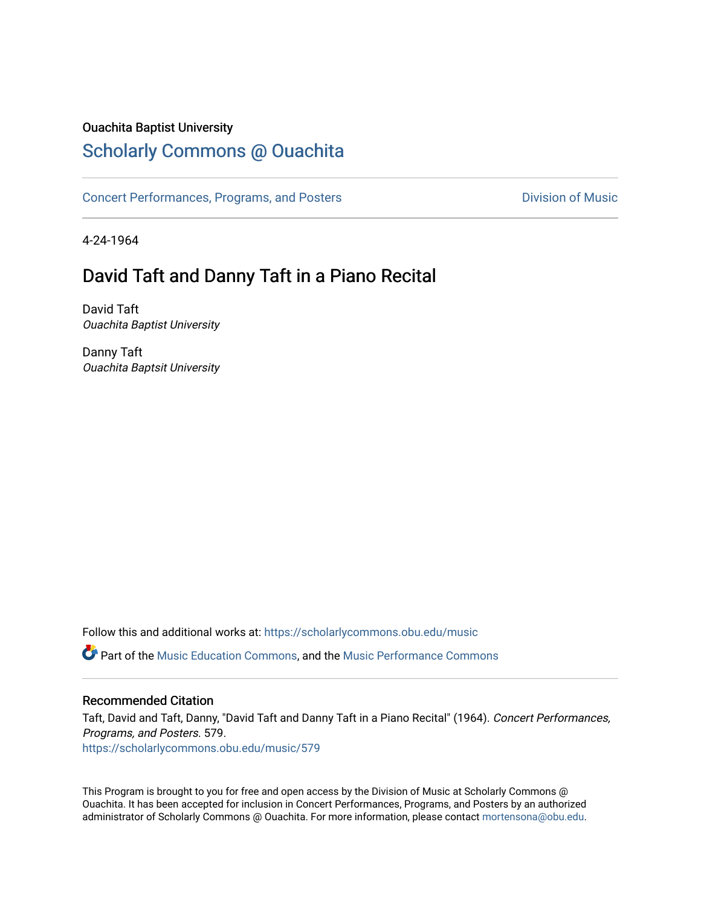## Ouachita Baptist University

# [Scholarly Commons @ Ouachita](https://scholarlycommons.obu.edu/)

[Concert Performances, Programs, and Posters](https://scholarlycommons.obu.edu/music) **Division of Music** Division of Music

4-24-1964

# David Taft and Danny Taft in a Piano Recital

David Taft Ouachita Baptist University

Danny Taft Ouachita Baptsit University

Follow this and additional works at: [https://scholarlycommons.obu.edu/music](https://scholarlycommons.obu.edu/music?utm_source=scholarlycommons.obu.edu%2Fmusic%2F579&utm_medium=PDF&utm_campaign=PDFCoverPages) 

**C** Part of the [Music Education Commons,](http://network.bepress.com/hgg/discipline/1246?utm_source=scholarlycommons.obu.edu%2Fmusic%2F579&utm_medium=PDF&utm_campaign=PDFCoverPages) and the Music Performance Commons

### Recommended Citation

Taft, David and Taft, Danny, "David Taft and Danny Taft in a Piano Recital" (1964). Concert Performances, Programs, and Posters. 579.

[https://scholarlycommons.obu.edu/music/579](https://scholarlycommons.obu.edu/music/579?utm_source=scholarlycommons.obu.edu%2Fmusic%2F579&utm_medium=PDF&utm_campaign=PDFCoverPages) 

This Program is brought to you for free and open access by the Division of Music at Scholarly Commons @ Ouachita. It has been accepted for inclusion in Concert Performances, Programs, and Posters by an authorized administrator of Scholarly Commons @ Ouachita. For more information, please contact [mortensona@obu.edu](mailto:mortensona@obu.edu).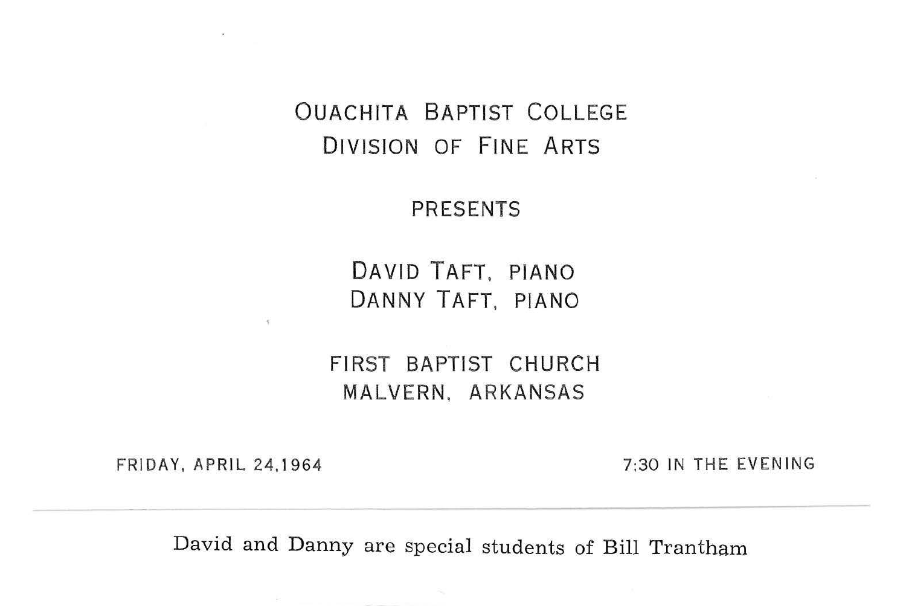### OUACHITA BAPTIST COLLEGE DIVISION OF FINE ARTS

#### PRESENTS

DAVID TAFT, PIANO DANNY TAFT. PIANO

FIRST BAPTIST CHURCH MALVERN. ARKANSAS

FRIDAY, APRIL 24.1964

7:30 IN THE EVENING

David and Danny are special students of Bill Trantham